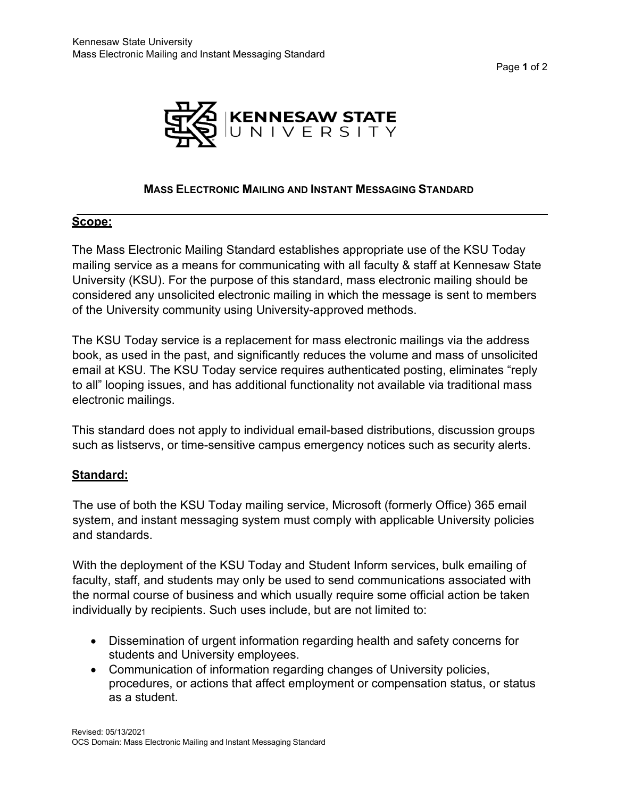Page **1** of 2



#### **MASS ELECTRONIC MAILING AND INSTANT MESSAGING STANDARD**

## **Scope:**

The Mass Electronic Mailing Standard establishes appropriate use of the KSU Today mailing service as a means for communicating with all faculty & staff at Kennesaw State University (KSU). For the purpose of this standard, mass electronic mailing should be considered any unsolicited electronic mailing in which the message is sent to members of the University community using University-approved methods.

The KSU Today service is a replacement for mass electronic mailings via the address book, as used in the past, and significantly reduces the volume and mass of unsolicited email at KSU. The KSU Today service requires authenticated posting, eliminates "reply to all" looping issues, and has additional functionality not available via traditional mass electronic mailings.

This standard does not apply to individual email-based distributions, discussion groups such as listservs, or time-sensitive campus emergency notices such as security alerts.

## **Standard:**

The use of both the KSU Today mailing service, Microsoft (formerly Office) 365 email system, and instant messaging system must comply with applicable University policies and standards.

With the deployment of the KSU Today and Student Inform services, bulk emailing of faculty, staff, and students may only be used to send communications associated with the normal course of business and which usually require some official action be taken individually by recipients. Such uses include, but are not limited to:

- Dissemination of urgent information regarding health and safety concerns for students and University employees.
- Communication of information regarding changes of University policies, procedures, or actions that affect employment or compensation status, or status as a student.